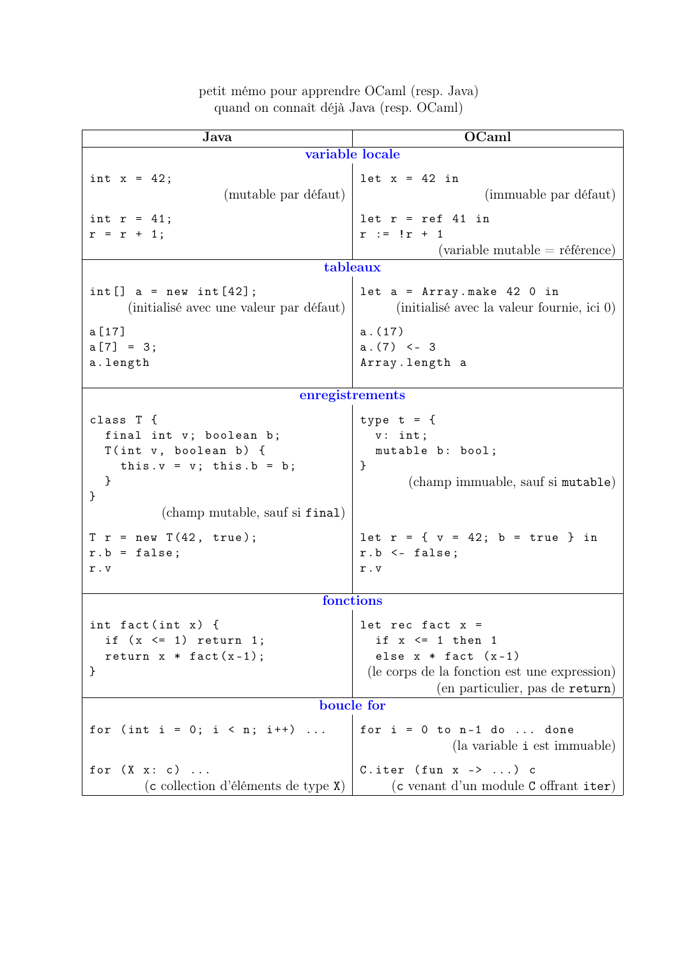| Java                                               | OCaml                                                                      |
|----------------------------------------------------|----------------------------------------------------------------------------|
| variable locale                                    |                                                                            |
| int $x = 42$ ;                                     | $let x = 42 in$                                                            |
| (mutable par défaut)                               | (immuable par défaut)                                                      |
|                                                    |                                                                            |
| int $r = 41$ ;                                     | $let r = ref 41 in$<br>$r := !r + 1$                                       |
| $r = r + 1;$                                       | $\alpha$ (variable mutable = référence)                                    |
| tableaux                                           |                                                                            |
|                                                    |                                                                            |
| $int []$ a = new int $[42]$ ;                      | $let a = Array.make 42 0 in$<br>(initialisé avec la valeur fournie, ici 0) |
| (initialisé avec une valeur par défaut)            |                                                                            |
| a [17]                                             | a.(17)                                                                     |
| $a [7] = 3;$                                       | $a.(7) < -3$                                                               |
| a.length                                           | Array.length a                                                             |
| enregistrements                                    |                                                                            |
|                                                    |                                                                            |
| class T {                                          | type $t = \{$                                                              |
| final int v; boolean b;<br>$T(int v, boolean b)$ { | v: int;<br>mutable b: bool;                                                |
| this. $v = v$ ; this. $b = b$ ;                    | }                                                                          |
| }                                                  | (champ immuable, sauf si mutable)                                          |
| }                                                  |                                                                            |
| (champ mutable, sauf si final)                     |                                                                            |
| $T r$ = new $T(42, true)$ ;                        | let $r = \{ v = 42; b = true \}$ in                                        |
| $r.b = false;$                                     | $r.b$ <- false;                                                            |
| r.v                                                | r.v                                                                        |
|                                                    |                                                                            |
| fonctions                                          |                                                                            |
| int fact(int $x$ ) {                               | let rec fact $x =$                                                         |
| if $(x \leq 1)$ return 1;                          | if $x \leq 1$ then 1                                                       |
| return $x * fact(x-1);$                            | else $x * fact (x-1)$                                                      |
| }                                                  | (le corps de la fonction est une expression)                               |
|                                                    | (en particulier, pas de return)                                            |
| boucle for                                         |                                                                            |
| for (int i = 0; i < n; i++)                        | for $i = 0$ to $n-1$ do  done                                              |
|                                                    | (la variable <i>i</i> est immuable)                                        |
| for $(X \times : c)$                               | C.iter (fun $x \rightarrow $ ) c                                           |
| (c collection d'éléments de type X)                | (c venant d'un module C offrant iter)                                      |

## petit mémo pour apprendre OCaml (resp. Java) quand on connaît déjà Java (resp. OCaml)